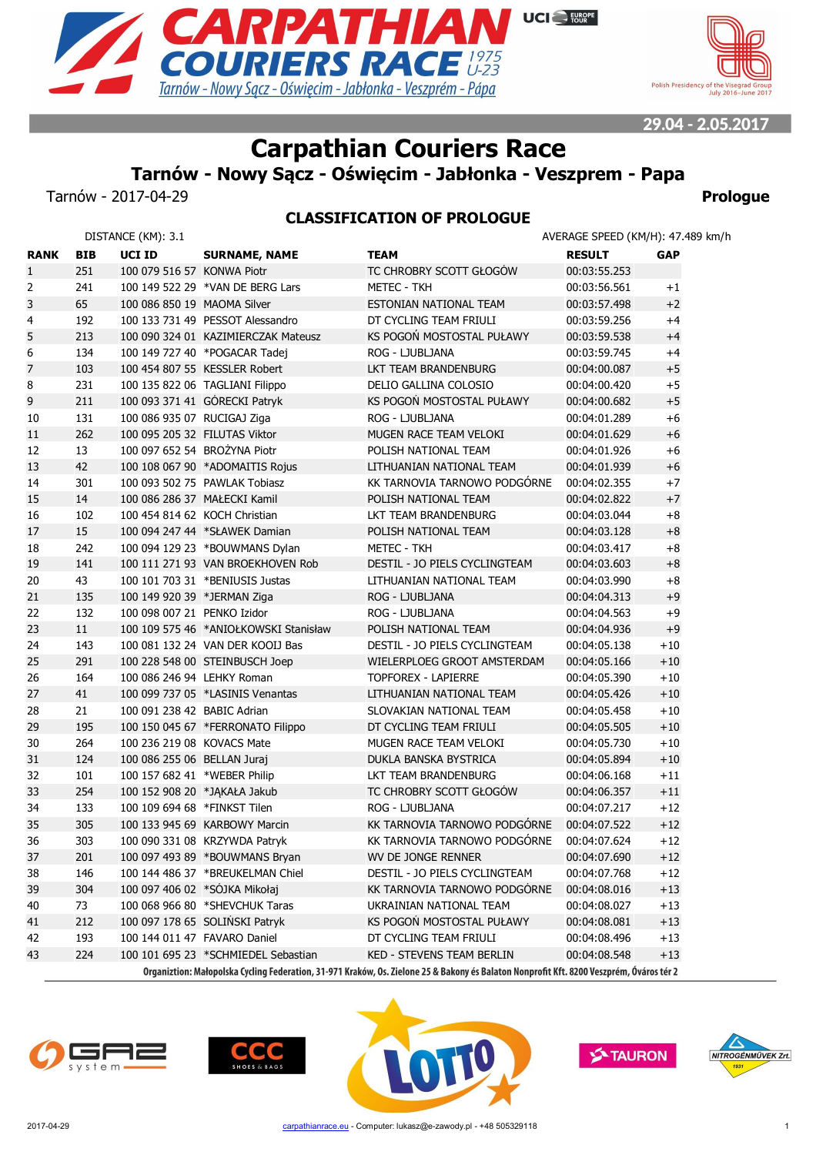



29.04 - 2.05.2017

# **Carpathian Couriers Race**

**Tarnów - Nowy Sącz - Oświęcim - Jabłonka - Veszprem - Papa**

Tarnów - 2017-04-29 **Prologue**

## **CLASSIFICATION OF PROLOGUE**

|                |            | DISTANCE (KM): 3.1           |                                       |                                                                                                                                          | AVERAGE SPEED (KM/H): 47.489 km/h |            |
|----------------|------------|------------------------------|---------------------------------------|------------------------------------------------------------------------------------------------------------------------------------------|-----------------------------------|------------|
| <b>RANK</b>    | <b>BIB</b> | UCI ID                       | <b>SURNAME, NAME</b>                  | <b>TEAM</b>                                                                                                                              | <b>RESULT</b>                     | <b>GAP</b> |
| $\mathbf{1}$   | 251        | 100 079 516 57 KONWA Piotr   |                                       | TC CHROBRY SCOTT GŁOGÓW                                                                                                                  | 00:03:55.253                      |            |
| 2              | 241        |                              | 100 149 522 29 *VAN DE BERG Lars      | METEC - TKH                                                                                                                              | 00:03:56.561                      | $^{+1}$    |
| 3              | 65         | 100 086 850 19 MAOMA Silver  |                                       | ESTONIAN NATIONAL TEAM                                                                                                                   | 00:03:57.498                      | $+2$       |
| 4              | 192        |                              | 100 133 731 49 PESSOT Alessandro      | DT CYCLING TEAM FRIULI                                                                                                                   | 00:03:59.256                      | $+4$       |
| 5              | 213        |                              | 100 090 324 01 KAZIMIERCZAK Mateusz   | KS POGOŃ MOSTOSTAL PUŁAWY                                                                                                                | 00:03:59.538                      | $+4$       |
| 6              | 134        |                              | 100 149 727 40 *POGACAR Tadej         | ROG - LJUBLJANA                                                                                                                          | 00:03:59.745                      | $+4$       |
| $\overline{7}$ | 103        |                              | 100 454 807 55 KESSLER Robert         | LKT TEAM BRANDENBURG                                                                                                                     | 00:04:00.087                      | $+5$       |
| 8              | 231        |                              | 100 135 822 06 TAGLIANI Filippo       | DELIO GALLINA COLOSIO                                                                                                                    | 00:04:00.420                      | $+5$       |
| 9              | 211        |                              | 100 093 371 41 GÓRECKI Patryk         | KS POGOŃ MOSTOSTAL PUŁAWY                                                                                                                | 00:04:00.682                      | $+5$       |
| 10             | 131        | 100 086 935 07 RUCIGAJ Ziga  |                                       | ROG - LJUBLJANA                                                                                                                          | 00:04:01.289                      | $+6$       |
| 11             | 262        |                              | 100 095 205 32 FILUTAS Viktor         | MUGEN RACE TEAM VELOKI                                                                                                                   | 00:04:01.629                      | $+6$       |
| 12             | 13         |                              | 100 097 652 54 BROŻYNA Piotr          | POLISH NATIONAL TEAM                                                                                                                     | 00:04:01.926                      | $+6$       |
| 13             | 42         |                              | 100 108 067 90 *ADOMAITIS Rojus       | LITHUANIAN NATIONAL TEAM                                                                                                                 | 00:04:01.939                      | $+6$       |
| 14             | 301        |                              | 100 093 502 75 PAWLAK Tobiasz         | KK TARNOVIA TARNOWO PODGÓRNE                                                                                                             | 00:04:02.355                      | $+7$       |
| 15             | 14         |                              | 100 086 286 37 MAŁECKI Kamil          | POLISH NATIONAL TEAM                                                                                                                     | 00:04:02.822                      | $+7$       |
| 16             | 102        |                              | 100 454 814 62 KOCH Christian         | LKT TEAM BRANDENBURG                                                                                                                     | 00:04:03.044                      | $+8$       |
| 17             | 15         |                              | 100 094 247 44 *SŁAWEK Damian         | POLISH NATIONAL TEAM                                                                                                                     | 00:04:03.128                      | $+8$       |
| 18             | 242        |                              | 100 094 129 23 *BOUWMANS Dylan        | <b>METEC - TKH</b>                                                                                                                       | 00:04:03.417                      | $+8$       |
| 19             | 141        |                              | 100 111 271 93 VAN BROEKHOVEN Rob     | DESTIL - JO PIELS CYCLINGTEAM                                                                                                            | 00:04:03.603                      | $+8$       |
| 20             | 43         |                              | 100 101 703 31 *BENIUSIS Justas       | LITHUANIAN NATIONAL TEAM                                                                                                                 | 00:04:03.990                      | $+8$       |
| 21             | 135        | 100 149 920 39 *JERMAN Ziga  |                                       | ROG - LJUBLJANA                                                                                                                          | 00:04:04.313                      | $+9$       |
| 22             | 132        | 100 098 007 21 PENKO Izidor  |                                       | ROG - LJUBLJANA                                                                                                                          | 00:04:04.563                      | $+9$       |
| 23             | 11         |                              | 100 109 575 46 *ANIOŁKOWSKI Stanisław | POLISH NATIONAL TEAM                                                                                                                     | 00:04:04.936                      | $+9$       |
| 24             | 143        |                              | 100 081 132 24 VAN DER KOOIJ Bas      | DESTIL - JO PIELS CYCLINGTEAM                                                                                                            | 00:04:05.138                      | $+10$      |
| 25             | 291        |                              | 100 228 548 00 STEINBUSCH Joep        | WIELERPLOEG GROOT AMSTERDAM                                                                                                              | 00:04:05.166                      | $+10$      |
| 26             | 164        | 100 086 246 94 LEHKY Roman   |                                       | <b>TOPFOREX - LAPIERRE</b>                                                                                                               | 00:04:05.390                      | $+10$      |
| 27             | 41         |                              | 100 099 737 05 *LASINIS Venantas      | LITHUANIAN NATIONAL TEAM                                                                                                                 | 00:04:05.426                      | $+10$      |
| 28             | 21         | 100 091 238 42 BABIC Adrian  |                                       | SLOVAKIAN NATIONAL TEAM                                                                                                                  | 00:04:05.458                      | $+10$      |
| 29             | 195        |                              | 100 150 045 67 *FERRONATO Filippo     | DT CYCLING TEAM FRIULI                                                                                                                   | 00:04:05.505                      | $+10$      |
| 30             | 264        | 100 236 219 08 KOVACS Mate   |                                       | MUGEN RACE TEAM VELOKI                                                                                                                   | 00:04:05.730                      | $+10$      |
| 31             | 124        | 100 086 255 06 BELLAN Juraj  |                                       | DUKLA BANSKA BYSTRICA                                                                                                                    | 00:04:05.894                      | $+10$      |
| 32             | 101        | 100 157 682 41 *WEBER Philip |                                       | LKT TEAM BRANDENBURG                                                                                                                     | 00:04:06.168                      | $+11$      |
| 33             | 254        |                              | 100 152 908 20 *JAKAŁA Jakub          | TC CHROBRY SCOTT GŁOGÓW                                                                                                                  | 00:04:06.357                      | $+11$      |
| 34             | 133        | 100 109 694 68 *FINKST Tilen |                                       | ROG - LJUBLJANA                                                                                                                          | 00:04:07.217                      | $+12$      |
| 35             | 305        |                              | 100 133 945 69 KARBOWY Marcin         | KK TARNOVIA TARNOWO PODGÓRNE                                                                                                             | 00:04:07.522                      | $+12$      |
| 36             | 303        |                              | 100 090 331 08 KRZYWDA Patryk         | KK TARNOVIA TARNOWO PODGÓRNE                                                                                                             | 00:04:07.624                      | $+12$      |
| 37             | 201        |                              | 100 097 493 89 *BOUWMANS Bryan        | WV DE JONGE RENNER                                                                                                                       | 00:04:07.690                      | $+12$      |
| 38             | 146        |                              | 100 144 486 37 *BREUKELMAN Chiel      | DESTIL - JO PIELS CYCLINGTEAM                                                                                                            | 00:04:07.768                      | $+12$      |
| 39             | 304        |                              | 100 097 406 02 *SOJKA Mikołaj         | KK TARNOVIA TARNOWO PODGÓRNE                                                                                                             | 00:04:08.016                      | $+13$      |
| 40             | 73         |                              | 100 068 966 80 *SHEVCHUK Taras        | UKRAINIAN NATIONAL TEAM                                                                                                                  | 00:04:08.027                      | $+13$      |
| 41             | 212        |                              | 100 097 178 65 SOLIŃSKI Patryk        | KS POGOŃ MOSTOSTAL PUŁAWY                                                                                                                | 00:04:08.081                      | $+13$      |
| 42             | 193        |                              | 100 144 011 47 FAVARO Daniel          | DT CYCLING TEAM FRIULI                                                                                                                   | 00:04:08.496                      | $+13$      |
| 43             | 224        |                              | 100 101 695 23 *SCHMIEDEL Sebastian   | KED - STEVENS TEAM BERLIN                                                                                                                | 00:04:08.548                      | $+13$      |
|                |            |                              |                                       | Organiztion: Małonolska Cycling Federation, 31-971 Kraków, Os. Zielone 25 & Rakony és Ralaton Nonnrofit Kft. 8200 Vesznrém, Óváros tér 2 |                                   |            |









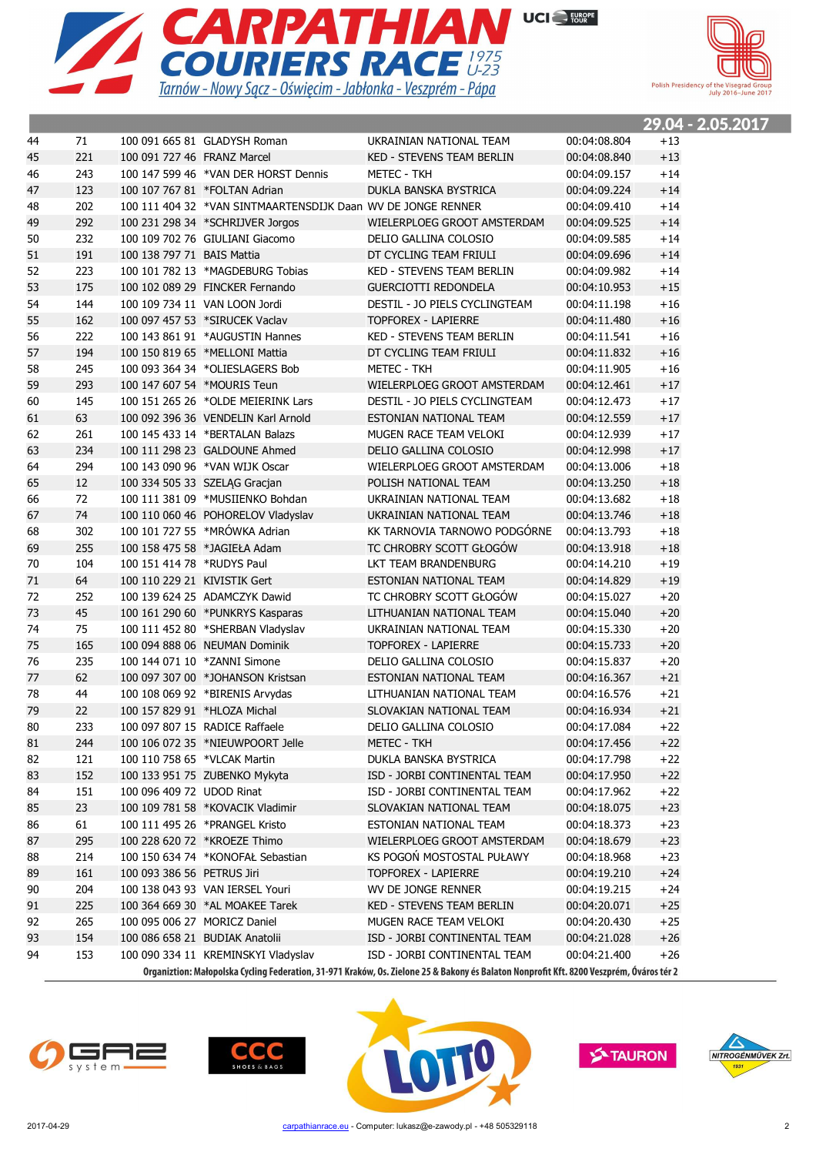



|        |     |                              |                                                              |                                                                                                                                          |              |       | 29.04 - 2.05.2017 |
|--------|-----|------------------------------|--------------------------------------------------------------|------------------------------------------------------------------------------------------------------------------------------------------|--------------|-------|-------------------|
| 44     | 71  |                              | 100 091 665 81 GLADYSH Roman                                 | UKRAINIAN NATIONAL TEAM                                                                                                                  | 00:04:08.804 | $+13$ |                   |
| 45     | 221 | 100 091 727 46 FRANZ Marcel  |                                                              | <b>KED - STEVENS TEAM BERLIN</b>                                                                                                         | 00:04:08.840 | $+13$ |                   |
| 46     | 243 |                              | 100 147 599 46 *VAN DER HORST Dennis                         | METEC - TKH                                                                                                                              | 00:04:09.157 | $+14$ |                   |
| 47     | 123 |                              | 100 107 767 81 *FOLTAN Adrian                                | DUKLA BANSKA BYSTRICA                                                                                                                    | 00:04:09.224 | $+14$ |                   |
| 48     | 202 |                              | 100 111 404 32 *VAN SINTMAARTENSDIJK Daan WV DE JONGE RENNER |                                                                                                                                          | 00:04:09.410 | $+14$ |                   |
| 49     | 292 |                              | 100 231 298 34 *SCHRIJVER Jorgos                             | WIELERPLOEG GROOT AMSTERDAM                                                                                                              | 00:04:09.525 | $+14$ |                   |
| 50     | 232 |                              | 100 109 702 76 GIULIANI Giacomo                              | DELIO GALLINA COLOSIO                                                                                                                    | 00:04:09.585 | $+14$ |                   |
| 51     | 191 | 100 138 797 71 BAIS Mattia   |                                                              | DT CYCLING TEAM FRIULI                                                                                                                   | 00:04:09.696 | $+14$ |                   |
| 52     | 223 |                              | 100 101 782 13 *MAGDEBURG Tobias                             | KED - STEVENS TEAM BERLIN                                                                                                                | 00:04:09.982 | $+14$ |                   |
| 53     | 175 |                              | 100 102 089 29 FINCKER Fernando                              | <b>GUERCIOTTI REDONDELA</b>                                                                                                              | 00:04:10.953 | $+15$ |                   |
| 54     | 144 |                              | 100 109 734 11 VAN LOON Jordi                                | DESTIL - JO PIELS CYCLINGTEAM                                                                                                            | 00:04:11.198 | $+16$ |                   |
| 55     | 162 |                              | 100 097 457 53 *SIRUCEK Vaclav                               | <b>TOPFOREX - LAPIERRE</b>                                                                                                               | 00:04:11.480 | $+16$ |                   |
| 56     | 222 |                              | 100 143 861 91 *AUGUSTIN Hannes                              | KED - STEVENS TEAM BERLIN                                                                                                                | 00:04:11.541 | $+16$ |                   |
| 57     | 194 |                              | 100 150 819 65 *MELLONI Mattia                               | DT CYCLING TEAM FRIULI                                                                                                                   | 00:04:11.832 | $+16$ |                   |
| 58     | 245 |                              | 100 093 364 34 *OLIESLAGERS Bob                              | METEC - TKH                                                                                                                              | 00:04:11.905 | $+16$ |                   |
| 59     | 293 | 100 147 607 54 *MOURIS Teun  |                                                              | WIELERPLOEG GROOT AMSTERDAM                                                                                                              | 00:04:12.461 | $+17$ |                   |
| 60     | 145 |                              | 100 151 265 26 *OLDE MEIERINK Lars                           | DESTIL - JO PIELS CYCLINGTEAM                                                                                                            | 00:04:12.473 | $+17$ |                   |
| 61     | 63  |                              | 100 092 396 36 VENDELIN Karl Arnold                          | ESTONIAN NATIONAL TEAM                                                                                                                   | 00:04:12.559 | $+17$ |                   |
| 62     | 261 |                              | 100 145 433 14 *BERTALAN Balazs                              | MUGEN RACE TEAM VELOKI                                                                                                                   | 00:04:12.939 | $+17$ |                   |
| 63     | 234 |                              | 100 111 298 23 GALDOUNE Ahmed                                | DELIO GALLINA COLOSIO                                                                                                                    | 00:04:12.998 | $+17$ |                   |
| 64     | 294 |                              | 100 143 090 96 *VAN WIJK Oscar                               | WIELERPLOEG GROOT AMSTERDAM                                                                                                              | 00:04:13.006 | $+18$ |                   |
| 65     | 12  |                              | 100 334 505 33 SZELĄG Gracjan                                | POLISH NATIONAL TEAM                                                                                                                     | 00:04:13.250 | $+18$ |                   |
| 66     | 72  |                              | 100 111 381 09 *MUSIIENKO Bohdan                             | UKRAINIAN NATIONAL TEAM                                                                                                                  | 00:04:13.682 | $+18$ |                   |
| 67     | 74  |                              | 100 110 060 46 POHORELOV Vladyslav                           | UKRAINIAN NATIONAL TEAM                                                                                                                  | 00:04:13.746 | $+18$ |                   |
| 68     | 302 |                              | 100 101 727 55 *MRÓWKA Adrian                                | KK TARNOVIA TARNOWO PODGÓRNE                                                                                                             | 00:04:13.793 | $+18$ |                   |
| 69     | 255 |                              | 100 158 475 58 *JAGIEŁA Adam                                 | TC CHROBRY SCOTT GŁOGÓW                                                                                                                  | 00:04:13.918 | $+18$ |                   |
| 70     | 104 | 100 151 414 78 *RUDYS Paul   |                                                              | LKT TEAM BRANDENBURG                                                                                                                     | 00:04:14.210 | $+19$ |                   |
| 71     | 64  | 100 110 229 21 KIVISTIK Gert |                                                              | ESTONIAN NATIONAL TEAM                                                                                                                   | 00:04:14.829 | $+19$ |                   |
| 72     | 252 |                              | 100 139 624 25 ADAMCZYK Dawid                                | TC CHROBRY SCOTT GŁOGÓW                                                                                                                  | 00:04:15.027 | $+20$ |                   |
| 73     | 45  |                              | 100 161 290 60 *PUNKRYS Kasparas                             | LITHUANIAN NATIONAL TEAM                                                                                                                 | 00:04:15.040 | $+20$ |                   |
| 74     | 75  |                              | 100 111 452 80 *SHERBAN Vladyslav                            | UKRAINIAN NATIONAL TEAM                                                                                                                  | 00:04:15.330 | $+20$ |                   |
| 75     | 165 |                              | 100 094 888 06 NEUMAN Dominik                                | TOPFOREX - LAPIERRE                                                                                                                      | 00:04:15.733 | $+20$ |                   |
| 76     | 235 |                              | 100 144 071 10 *ZANNI Simone                                 | DELIO GALLINA COLOSIO                                                                                                                    | 00:04:15.837 | $+20$ |                   |
| 77     | 62  |                              | 100 097 307 00 *JOHANSON Kristsan                            | ESTONIAN NATIONAL TEAM                                                                                                                   | 00:04:16.367 | $+21$ |                   |
| 78     | 44  |                              | 100 108 069 92 *BIRENIS Arvydas                              | LITHUANIAN NATIONAL TEAM                                                                                                                 | 00:04:16.576 | $+21$ |                   |
| 79     | 22  | 100 157 829 91 *HLOZA Michal |                                                              | SLOVAKIAN NATIONAL TEAM                                                                                                                  | 00:04:16.934 | $+21$ |                   |
| $80\,$ | 233 |                              | 100 097 807 15 RADICE Raffaele                               | DELIO GALLINA COLOSIO                                                                                                                    | 00:04:17.084 | $+22$ |                   |
| 81     | 244 |                              | 100 106 072 35 *NIEUWPOORT Jelle                             | <b>METEC - TKH</b>                                                                                                                       | 00:04:17.456 | $+22$ |                   |
| 82     | 121 | 100 110 758 65 *VLCAK Martin |                                                              | DUKLA BANSKA BYSTRICA                                                                                                                    | 00:04:17.798 | $+22$ |                   |
| 83     | 152 |                              | 100 133 951 75 ZUBENKO Mykyta                                | ISD - JORBI CONTINENTAL TEAM                                                                                                             | 00:04:17.950 | $+22$ |                   |
| 84     | 151 | 100 096 409 72 UDOD Rinat    |                                                              | ISD - JORBI CONTINENTAL TEAM                                                                                                             | 00:04:17.962 | $+22$ |                   |
| 85     | 23  |                              | 100 109 781 58 *KOVACIK Vladimir                             | SLOVAKIAN NATIONAL TEAM                                                                                                                  | 00:04:18.075 | $+23$ |                   |
| 86     | 61  |                              | 100 111 495 26 *PRANGEL Kristo                               | ESTONIAN NATIONAL TEAM                                                                                                                   | 00:04:18.373 | $+23$ |                   |
| 87     | 295 |                              | 100 228 620 72 *KROEZE Thimo                                 | WIELERPLOEG GROOT AMSTERDAM                                                                                                              | 00:04:18.679 | $+23$ |                   |
| 88     | 214 |                              | 100 150 634 74 *KONOFAŁ Sebastian                            | KS POGOŃ MOSTOSTAL PUŁAWY                                                                                                                | 00:04:18.968 | $+23$ |                   |
| 89     | 161 | 100 093 386 56 PETRUS Jiri   |                                                              | TOPFOREX - LAPIERRE                                                                                                                      | 00:04:19.210 | $+24$ |                   |
| 90     | 204 |                              | 100 138 043 93 VAN IERSEL Youri                              | WV DE JONGE RENNER                                                                                                                       | 00:04:19.215 | $+24$ |                   |
| 91     | 225 |                              | 100 364 669 30 *AL MOAKEE Tarek                              | <b>KED - STEVENS TEAM BERLIN</b>                                                                                                         | 00:04:20.071 | $+25$ |                   |
| 92     | 265 | 100 095 006 27 MORICZ Daniel |                                                              | MUGEN RACE TEAM VELOKI                                                                                                                   | 00:04:20.430 | $+25$ |                   |
| 93     | 154 |                              | 100 086 658 21 BUDIAK Anatolii                               | ISD - JORBI CONTINENTAL TEAM                                                                                                             | 00:04:21.028 | $+26$ |                   |
| 94     | 153 |                              | 100 090 334 11 KREMINSKYI Vladyslav                          | ISD - JORBI CONTINENTAL TEAM                                                                                                             | 00:04:21.400 | $+26$ |                   |
|        |     |                              |                                                              | Organiztion: Małopolska Cycling Federation, 31-971 Kraków, Os. Zielone 25 & Bakony és Balaton Nonprofit Kft. 8200 Veszprém, Óváros tér 2 |              |       |                   |







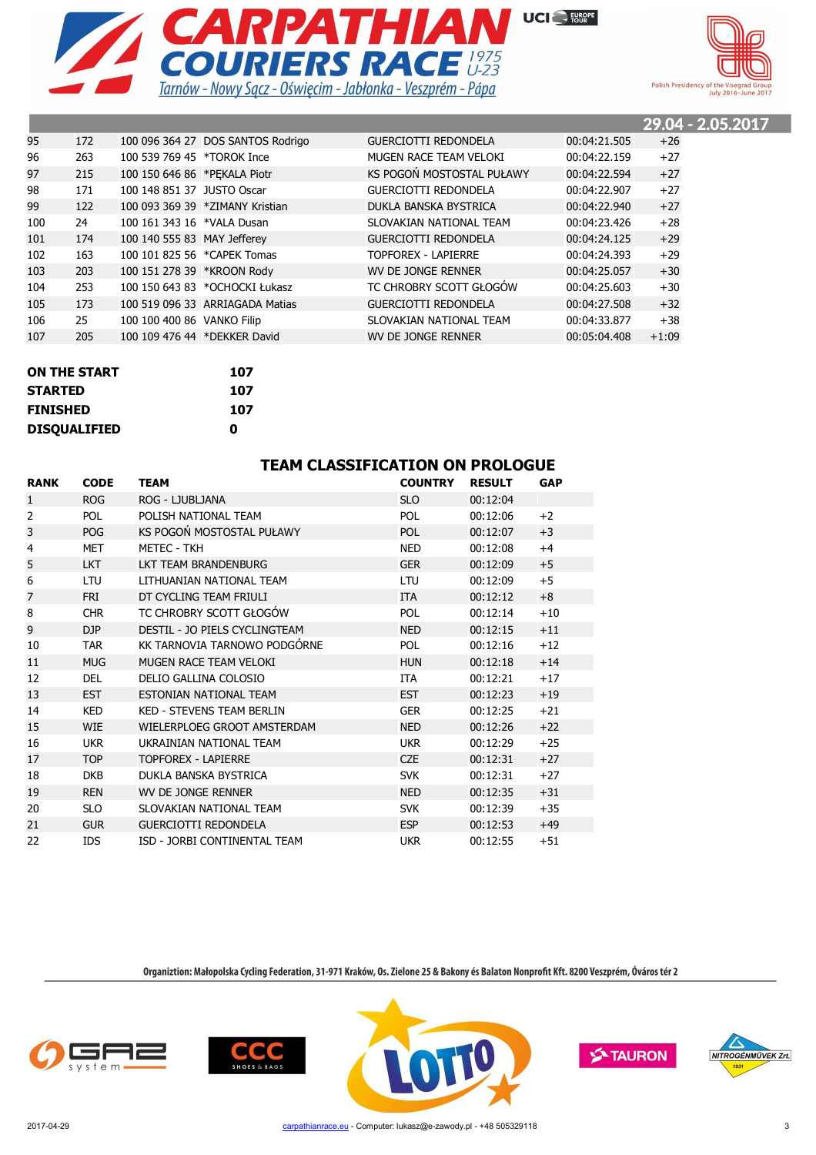



|     |     |                              |                                   |                             |              | 29.04 - 2.05.2017 |  |
|-----|-----|------------------------------|-----------------------------------|-----------------------------|--------------|-------------------|--|
| 95  | 172 |                              | 100 096 364 27 DOS SANTOS Rodrigo | <b>GUERCIOTTI REDONDELA</b> | 00:04:21.505 | $+26$             |  |
| 96  | 263 | 100 539 769 45 *TOROK Ince   |                                   | MUGEN RACE TEAM VELOKI      | 00:04:22.159 | $+27$             |  |
| 97  | 215 | 100 150 646 86 *PEKALA Piotr |                                   | KS POGOŃ MOSTOSTAL PUŁAWY   | 00:04:22.594 | $+27$             |  |
| 98  | 171 | 100 148 851 37 JUSTO Oscar   |                                   | <b>GUERCIOTTI REDONDELA</b> | 00:04:22.907 | $+27$             |  |
| 99  | 122 |                              | 100 093 369 39 *ZIMANY Kristian   | DUKLA BANSKA BYSTRICA       | 00:04:22.940 | $+27$             |  |
| 100 | 24  | 100 161 343 16 *VALA Dusan   |                                   | SLOVAKIAN NATIONAL TEAM     | 00:04:23.426 | $+28$             |  |
| 101 | 174 | 100 140 555 83 MAY Jefferey  |                                   | <b>GUERCIOTTI REDONDELA</b> | 00:04:24.125 | $+29$             |  |
| 102 | 163 |                              | 100 101 825 56 *CAPEK Tomas       | TOPFOREX - LAPIERRE         | 00:04:24.393 | $+29$             |  |
| 103 | 203 | 100 151 278 39 *KROON Rody   |                                   | WV DE JONGE RENNER          | 00:04:25.057 | $+30$             |  |
| 104 | 253 |                              | 100 150 643 83 *OCHOCKI Łukasz    | TC CHROBRY SCOTT GŁOGÓW     | 00:04:25.603 | $+30$             |  |
| 105 | 173 |                              | 100 519 096 33 ARRIAGADA Matias   | <b>GUERCIOTTI REDONDELA</b> | 00:04:27.508 | $+32$             |  |
| 106 | 25  | 100 100 400 86 VANKO Filip   |                                   | SLOVAKIAN NATIONAL TEAM     | 00:04:33.877 | $+38$             |  |
| 107 | 205 |                              | 100 109 476 44 *DEKKER David      | WV DE JONGE RENNER          | 00:05:04.408 | $+1:09$           |  |

| <b>ON THE START</b> | 107 |
|---------------------|-----|
| <b>STARTED</b>      | 107 |
| <b>FINISHED</b>     | 107 |
| <b>DISOUALIFIED</b> | Λ   |

| <b>TEAM CLASSIFICATION ON PROLOGUE</b> |  |
|----------------------------------------|--|
|                                        |  |

| <b>RANK</b>    | <b>CODE</b> | <b>TEAM</b>                      | <b>COUNTRY</b> | <b>RESULT</b> | <b>GAP</b> |
|----------------|-------------|----------------------------------|----------------|---------------|------------|
| 1              | <b>ROG</b>  | ROG - LJUBLJANA                  | <b>SLO</b>     | 00:12:04      |            |
| $\overline{2}$ | <b>POL</b>  | POLISH NATIONAL TEAM             | <b>POL</b>     | 00:12:06      | $+2$       |
| 3              | <b>POG</b>  | KS POGOŃ MOSTOSTAL PUŁAWY        | <b>POL</b>     | 00:12:07      | $+3$       |
| 4              | <b>MET</b>  | <b>METEC - TKH</b>               | <b>NED</b>     | 00:12:08      | $+4$       |
| 5              | <b>LKT</b>  | LKT TEAM BRANDENBURG             | <b>GER</b>     | 00:12:09      | $+5$       |
| 6              | LTU         | I ITHUANIAN NATIONAL TFAM        | LTU            | 00:12:09      | $+5$       |
| 7              | <b>FRI</b>  | DT CYCLING TEAM FRIULI           | <b>ITA</b>     | 00:12:12      | $+8$       |
| 8              | <b>CHR</b>  | TC CHROBRY SCOTT GŁOGÓW          | <b>POL</b>     | 00:12:14      | $+10$      |
| 9              | DJP         | DESTIL - JO PIELS CYCLINGTEAM    | <b>NED</b>     | 00:12:15      | $+11$      |
| 10             | <b>TAR</b>  | KK TARNOVIA TARNOWO PODGÓRNE     | <b>POL</b>     | 00:12:16      | $+12$      |
| 11             | <b>MUG</b>  | MUGEN RACE TEAM VELOKI           | <b>HUN</b>     | 00:12:18      | $+14$      |
| 12             | <b>DEL</b>  | DELIO GALLINA COLOSIO            | ITA            | 00:12:21      | $+17$      |
| 13             | <b>EST</b>  | ESTONIAN NATIONAL TEAM           | <b>EST</b>     | 00:12:23      | $+19$      |
| 14             | <b>KED</b>  | <b>KED - STEVENS TEAM BERLIN</b> | <b>GER</b>     | 00:12:25      | $+21$      |
| 15             | <b>WIE</b>  | WIELERPLOEG GROOT AMSTERDAM      | <b>NED</b>     | 00:12:26      | $+22$      |
| 16             | <b>UKR</b>  | UKRAINIAN NATIONAL TEAM          | <b>UKR</b>     | 00:12:29      | $+25$      |
| 17             | <b>TOP</b>  | <b>TOPFOREX - LAPIERRE</b>       | <b>CZE</b>     | 00:12:31      | $+27$      |
| 18             | <b>DKB</b>  | DUKLA BANSKA BYSTRICA            | <b>SVK</b>     | 00:12:31      | $+27$      |
| 19             | <b>REN</b>  | WV DE JONGE RENNER               | <b>NED</b>     | 00:12:35      | $+31$      |
| 20             | <b>SLO</b>  | SLOVAKIAN NATIONAL TEAM          | <b>SVK</b>     | 00:12:39      | $+35$      |
| 21             | <b>GUR</b>  | <b>GUERCIOTTI REDONDELA</b>      | <b>ESP</b>     | 00:12:53      | $+49$      |
| 22             | <b>IDS</b>  | ISD - JORBI CONTINENTAL TEAM     | <b>UKR</b>     | 00:12:55      | $+51$      |







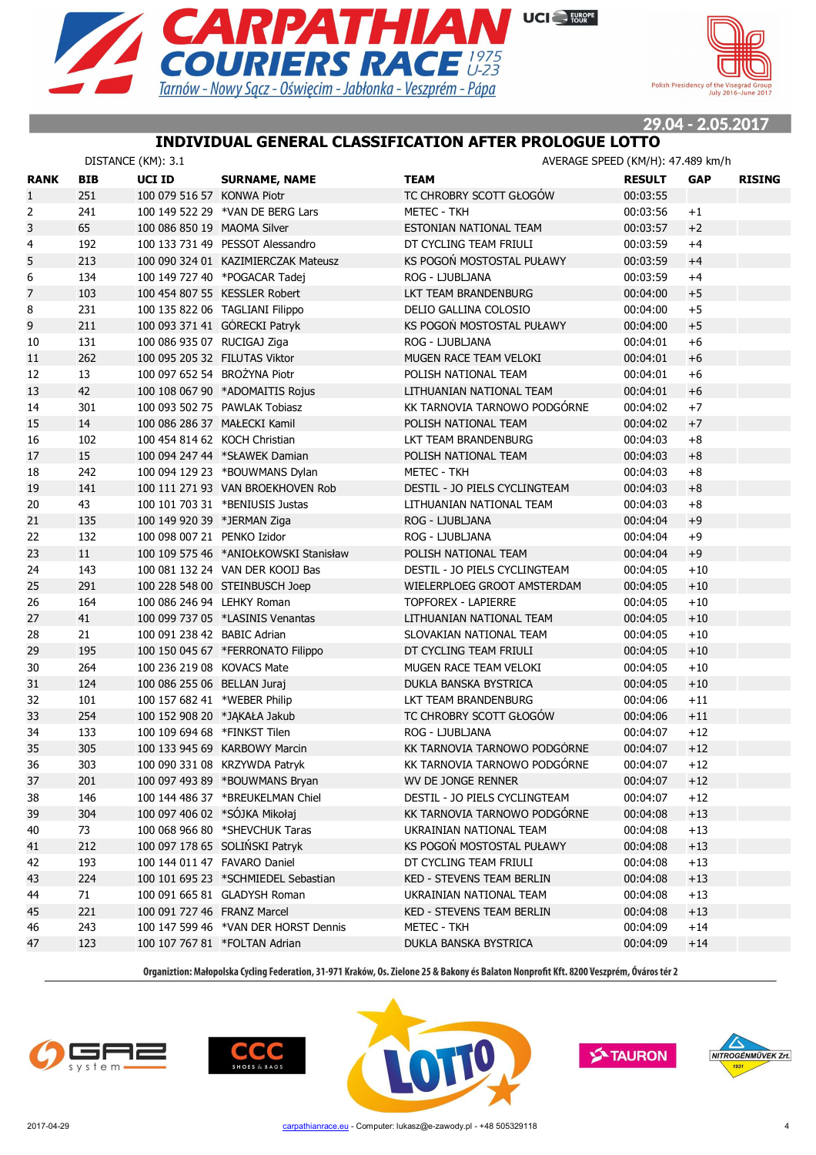



29.04 - 2.05.2017

#### **INDIVIDUAL GENERAL CLASSIFICATION AFTER PROLOGUE LOTTO**

|                |            | DISTANCE (KM): 3.1            |                                       |                               | AVERAGE SPEED (KM/H): 47.489 km/h |            |               |
|----------------|------------|-------------------------------|---------------------------------------|-------------------------------|-----------------------------------|------------|---------------|
| <b>RANK</b>    | <b>BIB</b> | UCI ID                        | <b>SURNAME, NAME</b>                  | <b>TEAM</b>                   | <b>RESULT</b>                     | <b>GAP</b> | <b>RISING</b> |
| $\mathbf{1}$   | 251        | 100 079 516 57 KONWA Piotr    |                                       | TC CHROBRY SCOTT GŁOGÓW       | 00:03:55                          |            |               |
| 2              | 241        |                               | 100 149 522 29 *VAN DE BERG Lars      | <b>METEC - TKH</b>            | 00:03:56                          | $+1$       |               |
| 3              | 65         | 100 086 850 19 MAOMA Silver   |                                       | ESTONIAN NATIONAL TEAM        | 00:03:57                          | $+2$       |               |
| 4              | 192        |                               | 100 133 731 49 PESSOT Alessandro      | DT CYCLING TEAM FRIULI        | 00:03:59                          | $+4$       |               |
| 5              | 213        |                               | 100 090 324 01 KAZIMIERCZAK Mateusz   | KS POGOŃ MOSTOSTAL PUŁAWY     | 00:03:59                          | $+4$       |               |
| 6              | 134        |                               | 100 149 727 40 *POGACAR Tadej         | ROG - LJUBLJANA               | 00:03:59                          | $+4$       |               |
| $\overline{7}$ | 103        |                               | 100 454 807 55 KESSLER Robert         | LKT TEAM BRANDENBURG          | 00:04:00                          | $+5$       |               |
| 8              | 231        |                               | 100 135 822 06 TAGLIANI Filippo       | DELIO GALLINA COLOSIO         | 00:04:00                          | $+5$       |               |
| 9              | 211        |                               | 100 093 371 41 GÓRECKI Patryk         | KS POGOŃ MOSTOSTAL PUŁAWY     | 00:04:00                          | $+5$       |               |
| 10             | 131        | 100 086 935 07 RUCIGAJ Ziga   |                                       | ROG - LJUBLJANA               | 00:04:01                          | $+6$       |               |
| 11             | 262        | 100 095 205 32 FILUTAS Viktor |                                       | MUGEN RACE TEAM VELOKI        | 00:04:01                          | $+6$       |               |
| 12             | 13         | 100 097 652 54 BROŻYNA Piotr  |                                       | POLISH NATIONAL TEAM          | 00:04:01                          | $+6$       |               |
| 13             | 42         |                               | 100 108 067 90 *ADOMAITIS Rojus       | LITHUANIAN NATIONAL TEAM      | 00:04:01                          | $+6$       |               |
| 14             | 301        |                               | 100 093 502 75 PAWLAK Tobiasz         | KK TARNOVIA TARNOWO PODGÓRNE  | 00:04:02                          | $+7$       |               |
| 15             | 14         | 100 086 286 37 MAŁECKI Kamil  |                                       | POLISH NATIONAL TEAM          | 00:04:02                          | $+7$       |               |
| 16             | 102        | 100 454 814 62 KOCH Christian |                                       | LKT TEAM BRANDENBURG          | 00:04:03                          | $+8$       |               |
| 17             | 15         |                               | 100 094 247 44 *SŁAWEK Damian         | POLISH NATIONAL TEAM          | 00:04:03                          | $+8$       |               |
| 18             | 242        |                               | 100 094 129 23 *BOUWMANS Dylan        | METEC - TKH                   | 00:04:03                          | $+8$       |               |
| 19             | 141        |                               | 100 111 271 93 VAN BROEKHOVEN Rob     | DESTIL - JO PIELS CYCLINGTEAM | 00:04:03                          | $+8$       |               |
| 20             | 43         |                               | 100 101 703 31 *BENIUSIS Justas       | LITHUANIAN NATIONAL TEAM      | 00:04:03                          | $+8$       |               |
| 21             | 135        | 100 149 920 39 *JERMAN Ziga   |                                       | ROG - LJUBLJANA               | 00:04:04                          | $+9$       |               |
| 22             | 132        | 100 098 007 21 PENKO Izidor   |                                       | ROG - LJUBLJANA               | 00:04:04                          | $+9$       |               |
| 23             | 11         |                               | 100 109 575 46 *ANIOŁKOWSKI Stanisław | POLISH NATIONAL TEAM          | 00:04:04                          | $+9$       |               |
| 24             | 143        |                               | 100 081 132 24 VAN DER KOOIJ Bas      | DESTIL - JO PIELS CYCLINGTEAM | 00:04:05                          | $+10$      |               |
| 25             | 291        |                               | 100 228 548 00 STEINBUSCH Joep        | WIELERPLOEG GROOT AMSTERDAM   | 00:04:05                          | $+10$      |               |
| 26             | 164        | 100 086 246 94 LEHKY Roman    |                                       | <b>TOPFOREX - LAPIERRE</b>    | 00:04:05                          | $+10$      |               |
| 27             | 41         |                               | 100 099 737 05 *LASINIS Venantas      | LITHUANIAN NATIONAL TEAM      | 00:04:05                          | $+10$      |               |
| 28             | 21         | 100 091 238 42 BABIC Adrian   |                                       | SLOVAKIAN NATIONAL TEAM       | 00:04:05                          | $+10$      |               |
| 29             | 195        |                               | 100 150 045 67 *FERRONATO Filippo     | DT CYCLING TEAM FRIULI        | 00:04:05                          | $+10$      |               |
| 30             | 264        | 100 236 219 08 KOVACS Mate    |                                       | MUGEN RACE TEAM VELOKI        | 00:04:05                          | $+10$      |               |
| 31             | 124        | 100 086 255 06 BELLAN Juraj   |                                       | DUKLA BANSKA BYSTRICA         | 00:04:05                          | $+10$      |               |
| 32             | 101        | 100 157 682 41 *WEBER Philip  |                                       | LKT TEAM BRANDENBURG          | 00:04:06                          | $+11$      |               |
| 33             | 254        | 100 152 908 20 *JAKAŁA Jakub  |                                       | TC CHROBRY SCOTT GŁOGÓW       | 00:04:06                          | $+11$      |               |
| 34             | 133        | 100 109 694 68 *FINKST Tilen  |                                       | ROG - LJUBLJANA               | 00:04:07                          | $+12$      |               |
| 35             | 305        |                               | 100 133 945 69 KARBOWY Marcin         | KK TARNOVIA TARNOWO PODGÓRNE  | 00:04:07                          | $+12$      |               |
| 36             | 303        |                               | 100 090 331 08 KRZYWDA Patryk         | KK TARNOVIA TARNOWO PODGÓRNE  | 00:04:07                          | $+12$      |               |
| 37             | 201        |                               | 100 097 493 89 *BOUWMANS Bryan        | WV DE JONGE RENNER            | 00:04:07                          | $+12$      |               |
| 38             | 146        |                               | 100 144 486 37 *BREUKELMAN Chiel      | DESTIL - JO PIELS CYCLINGTEAM | 00:04:07                          | $+12$      |               |
| 39             | 304        | 100 097 406 02 *SÓJKA Mikołaj |                                       | KK TARNOVIA TARNOWO PODGORNE  | 00:04:08                          | $+13$      |               |
| 40             | 73         |                               | 100 068 966 80 *SHEVCHUK Taras        | UKRAINIAN NATIONAL TEAM       | 00:04:08                          | $+13$      |               |
|                | 212        |                               | 100 097 178 65 SOLIŃSKI Patryk        | KS POGOŃ MOSTOSTAL PUŁAWY     | 00:04:08                          |            |               |
| 41             |            |                               |                                       | DT CYCLING TEAM FRIULI        | 00:04:08                          | $+13$      |               |
| 42<br>43       | 193<br>224 | 100 144 011 47 FAVARO Daniel  | 100 101 695 23 *SCHMIEDEL Sebastian   | KED - STEVENS TEAM BERLIN     | 00:04:08                          | $+13$      |               |
|                |            |                               |                                       |                               | 00:04:08                          | $+13$      |               |
| 44             | 71         |                               | 100 091 665 81 GLADYSH Roman          | UKRAINIAN NATIONAL TEAM       |                                   | $+13$      |               |
| 45             | 221        | 100 091 727 46 FRANZ Marcel   |                                       | KED - STEVENS TEAM BERLIN     | 00:04:08<br>00:04:09              | $+13$      |               |
| 46             | 243        |                               | 100 147 599 46 *VAN DER HORST Dennis  | METEC - TKH                   |                                   | $+14$      |               |
| 47             | 123        |                               | 100 107 767 81 *FOLTAN Adrian         | DUKLA BANSKA BYSTRICA         | 00:04:09                          | $+14$      |               |







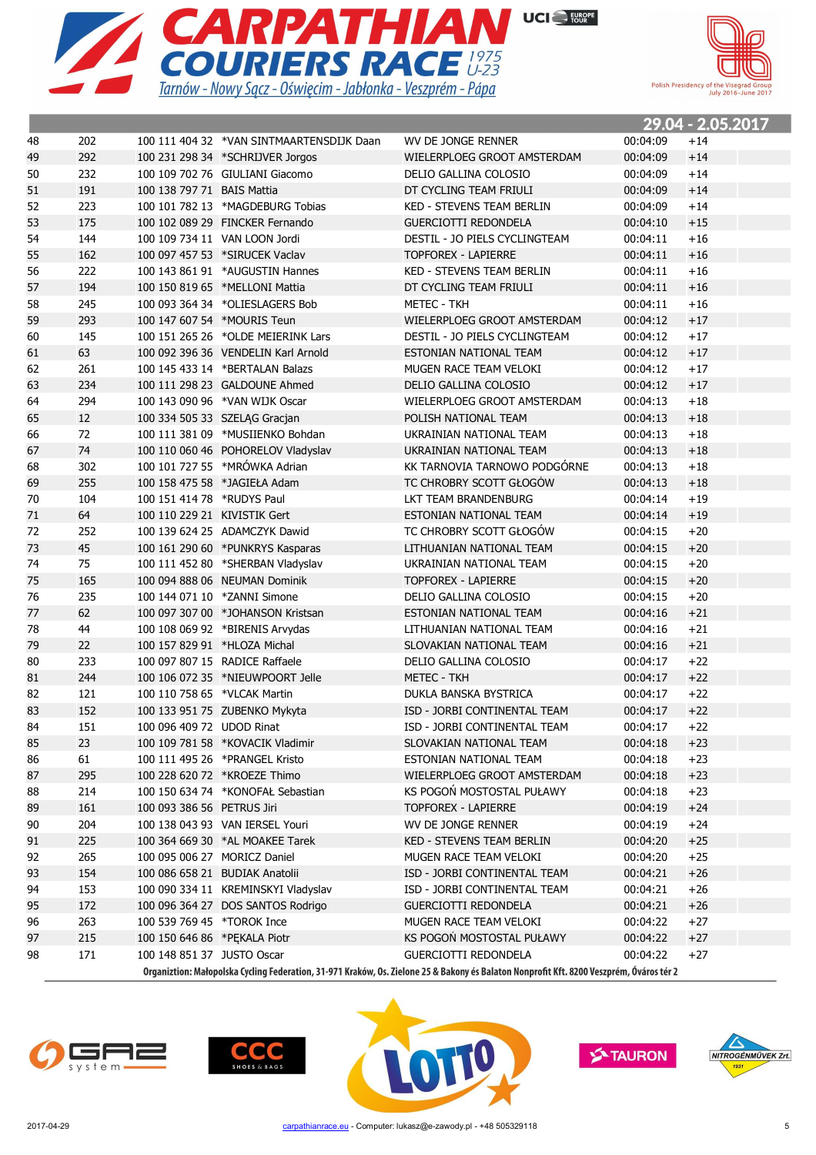



|    |     |                              |                                           |                                                                                                                                          |          | <u> 29.04 - 2.05.2017</u> |
|----|-----|------------------------------|-------------------------------------------|------------------------------------------------------------------------------------------------------------------------------------------|----------|---------------------------|
| 48 | 202 |                              | 100 111 404 32 *VAN SINTMAARTENSDIJK Daan | WV DE JONGE RENNER                                                                                                                       | 00:04:09 | $+14$                     |
| 49 | 292 |                              | 100 231 298 34 *SCHRIJVER Jorgos          | WIELERPLOEG GROOT AMSTERDAM                                                                                                              | 00:04:09 | $+14$                     |
| 50 | 232 |                              | 100 109 702 76 GIULIANI Giacomo           | DELIO GALLINA COLOSIO                                                                                                                    | 00:04:09 | $+14$                     |
| 51 | 191 | 100 138 797 71 BAIS Mattia   |                                           | DT CYCLING TEAM FRIULI                                                                                                                   | 00:04:09 | $+14$                     |
| 52 | 223 |                              | 100 101 782 13 *MAGDEBURG Tobias          | <b>KED - STEVENS TEAM BERLIN</b>                                                                                                         | 00:04:09 | $+14$                     |
| 53 | 175 |                              | 100 102 089 29 FINCKER Fernando           | <b>GUERCIOTTI REDONDELA</b>                                                                                                              | 00:04:10 | $+15$                     |
| 54 | 144 |                              | 100 109 734 11 VAN LOON Jordi             | DESTIL - JO PIELS CYCLINGTEAM                                                                                                            | 00:04:11 | $+16$                     |
| 55 | 162 |                              | 100 097 457 53 *SIRUCEK Vaclav            | <b>TOPFOREX - LAPIERRE</b>                                                                                                               | 00:04:11 | $+16$                     |
| 56 | 222 |                              | 100 143 861 91 *AUGUSTIN Hannes           | <b>KED - STEVENS TEAM BERLIN</b>                                                                                                         | 00:04:11 | $+16$                     |
| 57 | 194 |                              | 100 150 819 65 *MELLONI Mattia            | DT CYCLING TEAM FRIULI                                                                                                                   | 00:04:11 | $+16$                     |
| 58 | 245 |                              | 100 093 364 34 *OLIESLAGERS Bob           | METEC - TKH                                                                                                                              | 00:04:11 | $+16$                     |
| 59 | 293 | 100 147 607 54 *MOURIS Teun  |                                           | WIELERPLOEG GROOT AMSTERDAM                                                                                                              | 00:04:12 | $+17$                     |
| 60 | 145 |                              | 100 151 265 26 *OLDE MEIERINK Lars        | DESTIL - JO PIELS CYCLINGTEAM                                                                                                            | 00:04:12 | $+17$                     |
| 61 | 63  |                              | 100 092 396 36 VENDELIN Karl Arnold       | ESTONIAN NATIONAL TEAM                                                                                                                   | 00:04:12 | $+17$                     |
| 62 | 261 |                              | 100 145 433 14 *BERTALAN Balazs           | MUGEN RACE TEAM VELOKI                                                                                                                   | 00:04:12 | $+17$                     |
| 63 | 234 |                              | 100 111 298 23 GALDOUNE Ahmed             | DELIO GALLINA COLOSIO                                                                                                                    | 00:04:12 | $+17$                     |
| 64 | 294 |                              | 100 143 090 96 *VAN WIJK Oscar            | WIELERPLOEG GROOT AMSTERDAM                                                                                                              | 00:04:13 | $+18$                     |
| 65 | 12  |                              | 100 334 505 33 SZELAG Gracjan             | POLISH NATIONAL TEAM                                                                                                                     | 00:04:13 | $+18$                     |
| 66 | 72  |                              | 100 111 381 09 *MUSIIENKO Bohdan          | UKRAINIAN NATIONAL TEAM                                                                                                                  | 00:04:13 | $+18$                     |
| 67 | 74  |                              | 100 110 060 46 POHORELOV Vladyslav        | UKRAINIAN NATIONAL TEAM                                                                                                                  | 00:04:13 | $+18$                     |
| 68 | 302 |                              | 100 101 727 55 *MRÓWKA Adrian             | KK TARNOVIA TARNOWO PODGÓRNE                                                                                                             | 00:04:13 | $+18$                     |
| 69 | 255 |                              | 100 158 475 58 *JAGIEŁA Adam              | TC CHROBRY SCOTT GŁOGÓW                                                                                                                  | 00:04:13 | $+18$                     |
| 70 | 104 | 100 151 414 78 *RUDYS Paul   |                                           | LKT TEAM BRANDENBURG                                                                                                                     | 00:04:14 | $+19$                     |
| 71 | 64  | 100 110 229 21 KIVISTIK Gert |                                           | ESTONIAN NATIONAL TEAM                                                                                                                   | 00:04:14 | $+19$                     |
| 72 | 252 |                              | 100 139 624 25 ADAMCZYK Dawid             | TC CHROBRY SCOTT GŁOGÓW                                                                                                                  | 00:04:15 | $+20$                     |
| 73 | 45  |                              | 100 161 290 60 *PUNKRYS Kasparas          | LITHUANIAN NATIONAL TEAM                                                                                                                 | 00:04:15 | $+20$                     |
| 74 | 75  |                              | 100 111 452 80 *SHERBAN Vladyslav         | UKRAINIAN NATIONAL TEAM                                                                                                                  | 00:04:15 | $+20$                     |
| 75 | 165 |                              | 100 094 888 06 NEUMAN Dominik             | <b>TOPFOREX - LAPIERRE</b>                                                                                                               | 00:04:15 | $+20$                     |
| 76 | 235 |                              | 100 144 071 10 *ZANNI Simone              | DELIO GALLINA COLOSIO                                                                                                                    | 00:04:15 | $+20$                     |
| 77 | 62  |                              | 100 097 307 00 *JOHANSON Kristsan         | ESTONIAN NATIONAL TEAM                                                                                                                   | 00:04:16 | $+21$                     |
| 78 | 44  |                              | 100 108 069 92 *BIRENIS Arvydas           | LITHUANIAN NATIONAL TEAM                                                                                                                 | 00:04:16 | $+21$                     |
| 79 | 22  | 100 157 829 91 *HLOZA Michal |                                           | SLOVAKIAN NATIONAL TEAM                                                                                                                  | 00:04:16 | $+21$                     |
| 80 | 233 |                              | 100 097 807 15 RADICE Raffaele            | DELIO GALLINA COLOSIO                                                                                                                    | 00:04:17 | $+22$                     |
| 81 | 244 |                              | 100 106 072 35 *NIEUWPOORT Jelle          | METEC - TKH                                                                                                                              | 00:04:17 | $+22$                     |
| 82 | 121 | 100 110 758 65 *VLCAK Martin |                                           | DUKLA BANSKA BYSTRICA                                                                                                                    | 00:04:17 | $+22$                     |
| 83 | 152 |                              | 100 133 951 75 ZUBENKO Mykyta             | ISD - JORBI CONTINENTAL TEAM                                                                                                             | 00:04:17 | $+22$                     |
| 84 | 151 | 100 096 409 72 UDOD Rinat    |                                           | ISD - JORBI CONTINENTAL TEAM                                                                                                             | 00:04:17 | $+22$                     |
| 85 | 23  |                              | 100 109 781 58 *KOVACIK Vladimir          | SLOVAKIAN NATIONAL TEAM                                                                                                                  | 00:04:18 | $+23$                     |
| 86 | 61  |                              | 100 111 495 26 *PRANGEL Kristo            | ESTONIAN NATIONAL TEAM                                                                                                                   | 00:04:18 | $+23$                     |
| 87 | 295 |                              | 100 228 620 72 *KROEZE Thimo              | WIELERPLOEG GROOT AMSTERDAM                                                                                                              | 00:04:18 | $+23$                     |
| 88 | 214 |                              | 100 150 634 74 *KONOFAŁ Sebastian         | KS POGOŃ MOSTOSTAL PUŁAWY                                                                                                                | 00:04:18 | $+23$                     |
| 89 | 161 | 100 093 386 56 PETRUS Jiri   |                                           | TOPFOREX - LAPIERRE                                                                                                                      | 00:04:19 | $+24$                     |
|    | 204 |                              | 100 138 043 93 VAN IERSEL Youri           |                                                                                                                                          |          |                           |
| 90 |     |                              |                                           | WV DE JONGE RENNER                                                                                                                       | 00:04:19 | $+24$                     |
| 91 | 225 |                              | 100 364 669 30 *AL MOAKEE Tarek           | <b>KED - STEVENS TEAM BERLIN</b>                                                                                                         | 00:04:20 | $+25$                     |
| 92 | 265 | 100 095 006 27 MORICZ Daniel |                                           | MUGEN RACE TEAM VELOKI                                                                                                                   | 00:04:20 | $+25$                     |
| 93 | 154 |                              | 100 086 658 21 BUDIAK Anatolii            | ISD - JORBI CONTINENTAL TEAM                                                                                                             | 00:04:21 | $+26$                     |
| 94 | 153 |                              | 100 090 334 11 KREMINSKYI Vladyslav       | ISD - JORBI CONTINENTAL TEAM                                                                                                             | 00:04:21 | $+26$                     |
| 95 | 172 |                              | 100 096 364 27 DOS SANTOS Rodrigo         | <b>GUERCIOTTI REDONDELA</b>                                                                                                              | 00:04:21 | $+26$                     |
| 96 | 263 | 100 539 769 45 *TOROK Ince   |                                           | MUGEN RACE TEAM VELOKI                                                                                                                   | 00:04:22 | $+27$                     |
| 97 | 215 | 100 150 646 86 *PEKALA Piotr |                                           | KS POGOŃ MOSTOSTAL PUŁAWY                                                                                                                | 00:04:22 | $+27$                     |
| 98 | 171 | 100 148 851 37 JUSTO Oscar   |                                           | GUERCIOTTI REDONDELA                                                                                                                     | 00:04:22 | $+27$                     |
|    |     |                              |                                           | Organiztion: Małopolska Cycling Federation, 31-971 Kraków, Os. Zielone 25 & Bakony és Balaton Nonprofit Kft. 8200 Veszprém, Óváros tér 2 |          |                           |







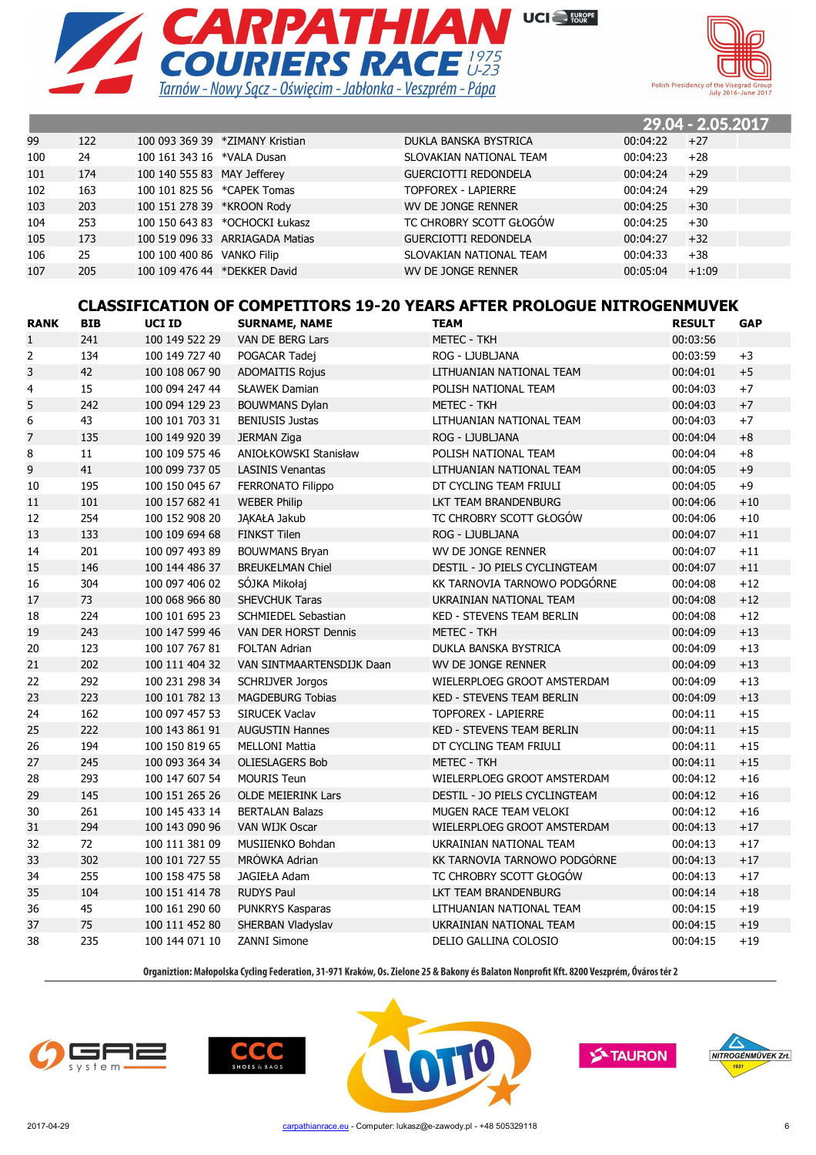



|     |     |                             |                                 |                             |          | 29.04 - 2.05.2017 |  |
|-----|-----|-----------------------------|---------------------------------|-----------------------------|----------|-------------------|--|
| 99  | 122 |                             | 100 093 369 39 *ZIMANY Kristian | DUKLA BANSKA BYSTRICA       | 00:04:22 | $+27$             |  |
| 100 | 24  | 100 161 343 16 *VALA Dusan  |                                 | SLOVAKIAN NATIONAL TEAM     | 00:04:23 | $+28$             |  |
| 101 | 174 | 100 140 555 83 MAY Jefferey |                                 | <b>GUERCIOTTI REDONDELA</b> | 00:04:24 | $+29$             |  |
| 102 | 163 | 100 101 825 56 *CAPEK Tomas |                                 | <b>TOPFOREX - LAPIERRE</b>  | 00:04:24 | $+29$             |  |
| 103 | 203 | 100 151 278 39 *KROON Rody  |                                 | WV DE JONGE RENNER          | 00:04:25 | $+30$             |  |
| 104 | 253 |                             | 100 150 643 83 *OCHOCKI Łukasz  | TC CHROBRY SCOTT GŁOGÓW     | 00:04:25 | $+30$             |  |
| 105 | 173 |                             | 100 519 096 33 ARRIAGADA Matias | <b>GUERCIOTTI REDONDELA</b> | 00:04:27 | $+32$             |  |
| 106 | 25  | 100 100 400 86 VANKO Filip  |                                 | SLOVAKIAN NATIONAL TEAM     | 00:04:33 | $+38$             |  |
| 107 | 205 |                             | 100 109 476 44 *DEKKER David    | WV DE JONGE RENNER          | 00:05:04 | $+1:09$           |  |
|     |     |                             |                                 |                             |          |                   |  |

#### **CLASSIFICATION OF COMPETITORS 19-20 YEARS AFTER PROLOGUE NITROGENMUVEK**

| <b>RANK</b>    | <b>BIB</b> | UCI ID         | <b>SURNAME, NAME</b>        | <b>TEAM</b>                      | <b>RESULT</b> | <b>GAP</b> |
|----------------|------------|----------------|-----------------------------|----------------------------------|---------------|------------|
| $\mathbf{1}$   | 241        | 100 149 522 29 | VAN DE BERG Lars            | <b>METEC - TKH</b>               | 00:03:56      |            |
| $\overline{2}$ | 134        | 100 149 727 40 | POGACAR Tadej               | ROG - LJUBLJANA                  | 00:03:59      | $+3$       |
| 3              | 42         | 100 108 067 90 | <b>ADOMAITIS Rojus</b>      | LITHUANIAN NATIONAL TEAM         | 00:04:01      | $+5$       |
| $\overline{4}$ | 15         | 100 094 247 44 | <b>SŁAWEK Damian</b>        | POLISH NATIONAL TEAM             | 00:04:03      | $+7$       |
| 5              | 242        | 100 094 129 23 | <b>BOUWMANS Dylan</b>       | <b>METEC - TKH</b>               | 00:04:03      | $+7$       |
| 6              | 43         | 100 101 703 31 | <b>BENIUSIS Justas</b>      | LITHUANIAN NATIONAL TEAM         | 00:04:03      | $+7$       |
| $\overline{7}$ | 135        | 100 149 920 39 | <b>JERMAN Ziga</b>          | ROG - LJUBLJANA                  | 00:04:04      | $+8$       |
| 8              | 11         | 100 109 575 46 | ANIOŁKOWSKI Stanisław       | POLISH NATIONAL TEAM             | 00:04:04      | $+8$       |
| 9              | 41         | 100 099 737 05 | <b>LASINIS Venantas</b>     | LITHUANIAN NATIONAL TEAM         | 00:04:05      | $+9$       |
| 10             | 195        | 100 150 045 67 | FERRONATO Filippo           | DT CYCLING TEAM FRIULI           | 00:04:05      | $+9$       |
| 11             | 101        | 100 157 682 41 | <b>WEBER Philip</b>         | LKT TEAM BRANDENBURG             | 00:04:06      | $+10\,$    |
| 12             | 254        | 100 152 908 20 | JAKAŁA Jakub                | TC CHROBRY SCOTT GŁOGÓW          | 00:04:06      | $+10$      |
| 13             | 133        | 100 109 694 68 | <b>FINKST Tilen</b>         | ROG - LJUBLJANA                  | 00:04:07      | $+11$      |
| 14             | 201        | 100 097 493 89 | <b>BOUWMANS Bryan</b>       | WV DE JONGE RENNER               | 00:04:07      | $+11$      |
| 15             | 146        | 100 144 486 37 | <b>BREUKELMAN Chiel</b>     | DESTIL - JO PIELS CYCLINGTEAM    | 00:04:07      | $+11$      |
| 16             | 304        | 100 097 406 02 | SÓJKA Mikołaj               | KK TARNOVIA TARNOWO PODGÓRNE     | 00:04:08      | $+12$      |
| 17             | 73         | 100 068 966 80 | SHEVCHUK Taras              | UKRAINIAN NATIONAL TEAM          | 00:04:08      | $+12$      |
| 18             | 224        | 100 101 695 23 | <b>SCHMIEDEL Sebastian</b>  | <b>KED - STEVENS TEAM BERLIN</b> | 00:04:08      | $+12$      |
| 19             | 243        | 100 147 599 46 | <b>VAN DER HORST Dennis</b> | <b>METEC - TKH</b>               | 00:04:09      | $+13$      |
| 20             | 123        | 100 107 767 81 | <b>FOLTAN Adrian</b>        | DUKLA BANSKA BYSTRICA            | 00:04:09      | $+13$      |
| 21             | 202        | 100 111 404 32 | VAN SINTMAARTENSDIJK Daan   | WV DE JONGE RENNER               | 00:04:09      | $+13$      |
| 22             | 292        | 100 231 298 34 | <b>SCHRIJVER Jorgos</b>     | WIELERPLOEG GROOT AMSTERDAM      | 00:04:09      | $+13$      |
| 23             | 223        | 100 101 782 13 | <b>MAGDEBURG Tobias</b>     | <b>KED - STEVENS TEAM BERLIN</b> | 00:04:09      | $+13$      |
| 24             | 162        | 100 097 457 53 | <b>SIRUCEK Vaclav</b>       | <b>TOPFOREX - LAPIERRE</b>       | 00:04:11      | $+15$      |
| 25             | 222        | 100 143 861 91 | <b>AUGUSTIN Hannes</b>      | <b>KED - STEVENS TEAM BERLIN</b> | 00:04:11      | $+15$      |
| 26             | 194        | 100 150 819 65 | <b>MELLONI Mattia</b>       | DT CYCLING TEAM FRIULI           | 00:04:11      | $+15$      |
| 27             | 245        | 100 093 364 34 | <b>OLIESLAGERS Bob</b>      | <b>METEC - TKH</b>               | 00:04:11      | $+15$      |
| 28             | 293        | 100 147 607 54 | <b>MOURIS Teun</b>          | WIELERPLOEG GROOT AMSTERDAM      | 00:04:12      | $+16$      |
| 29             | 145        | 100 151 265 26 | <b>OLDE MEIERINK Lars</b>   | DESTIL - JO PIELS CYCLINGTEAM    | 00:04:12      | $+16$      |
| 30             | 261        | 100 145 433 14 | <b>BERTALAN Balazs</b>      | MUGEN RACE TEAM VELOKI           | 00:04:12      | $+16$      |
| 31             | 294        | 100 143 090 96 | VAN WIJK Oscar              | WIELERPLOEG GROOT AMSTERDAM      | 00:04:13      | $+17$      |
| 32             | 72         | 100 111 381 09 | MUSIIENKO Bohdan            | UKRAINIAN NATIONAL TEAM          | 00:04:13      | $+17$      |
| 33             | 302        | 100 101 727 55 | MRÓWKA Adrian               | KK TARNOVIA TARNOWO PODGÓRNE     | 00:04:13      | $+17$      |
| 34             | 255        | 100 158 475 58 | JAGIEŁA Adam                | TC CHROBRY SCOTT GŁOGÓW          | 00:04:13      | $+17$      |
| 35             | 104        | 100 151 414 78 | <b>RUDYS Paul</b>           | LKT TEAM BRANDENBURG             | 00:04:14      | $+18$      |
| 36             | 45         | 100 161 290 60 | PUNKRYS Kasparas            | LITHUANIAN NATIONAL TEAM         | 00:04:15      | $+19$      |
| 37             | 75         | 100 111 452 80 | SHERBAN Vladyslav           | UKRAINIAN NATIONAL TEAM          | 00:04:15      | $+19$      |
| 38             | 235        | 100 144 071 10 | <b>ZANNI Simone</b>         | DELIO GALLINA COLOSIO            | 00:04:15      | $+19$      |







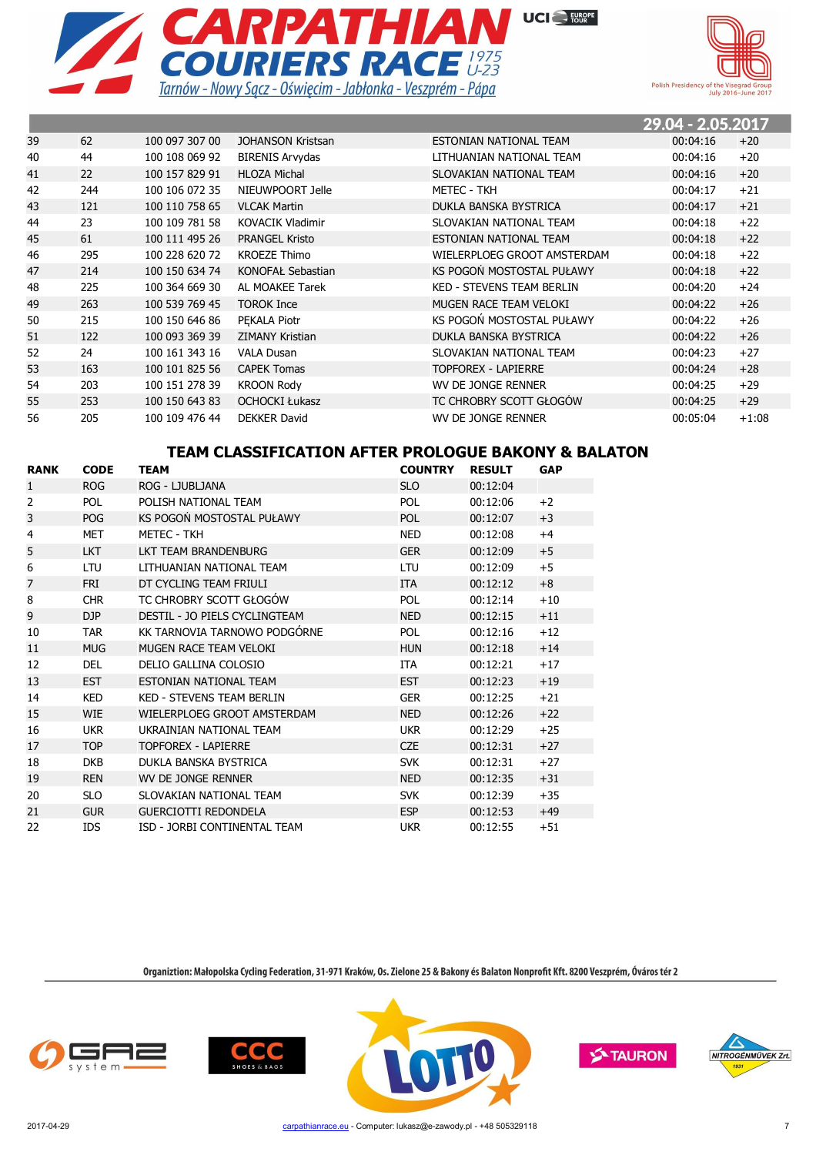



the contract of the contract of the contract of the con-

|    |     |                |                         |                                  | 29.04 - 2.05.2017 |         |
|----|-----|----------------|-------------------------|----------------------------------|-------------------|---------|
| 39 | 62  | 100 097 307 00 | JOHANSON Kristsan       | ESTONIAN NATIONAL TEAM           | 00:04:16          | $+20$   |
| 40 | 44  | 100 108 069 92 | <b>BIRENIS Arvydas</b>  | LITHUANIAN NATIONAL TEAM         | 00:04:16          | $+20$   |
| 41 | 22  | 100 157 829 91 | <b>HLOZA Michal</b>     | SLOVAKIAN NATIONAL TEAM          | 00:04:16          | $+20$   |
| 42 | 244 | 100 106 072 35 | NIEUWPOORT Jelle        | <b>METEC - TKH</b>               | 00:04:17          | $+21$   |
| 43 | 121 | 100 110 758 65 | <b>VLCAK Martin</b>     | DUKLA BANSKA BYSTRICA            | 00:04:17          | $+21$   |
| 44 | 23  | 100 109 781 58 | <b>KOVACIK Vladimir</b> | SLOVAKIAN NATIONAL TEAM          | 00:04:18          | $+22$   |
| 45 | 61  | 100 111 495 26 | <b>PRANGEL Kristo</b>   | ESTONIAN NATIONAL TEAM           | 00:04:18          | $+22$   |
| 46 | 295 | 100 228 620 72 | <b>KROEZE Thimo</b>     | WIELERPLOEG GROOT AMSTERDAM      | 00:04:18          | $+22$   |
| 47 | 214 | 100 150 634 74 | KONOFAŁ Sebastian       | KS POGOŃ MOSTOSTAL PUŁAWY        | 00:04:18          | $+22$   |
| 48 | 225 | 100 364 669 30 | AL MOAKEE Tarek         | <b>KED - STEVENS TEAM BERLIN</b> | 00:04:20          | $+24$   |
| 49 | 263 | 100 539 769 45 | <b>TOROK Ince</b>       | MUGEN RACE TEAM VELOKI           | 00:04:22          | $+26$   |
| 50 | 215 | 100 150 646 86 | PEKALA Piotr            | KS POGOŃ MOSTOSTAL PUŁAWY        | 00:04:22          | $+26$   |
| 51 | 122 | 100 093 369 39 | <b>ZIMANY Kristian</b>  | DUKLA BANSKA BYSTRICA            | 00:04:22          | $+26$   |
| 52 | 24  | 100 161 343 16 | <b>VALA Dusan</b>       | SLOVAKIAN NATIONAL TEAM          | 00:04:23          | $+27$   |
| 53 | 163 | 100 101 825 56 | <b>CAPEK Tomas</b>      | <b>TOPFOREX - LAPIERRE</b>       | 00:04:24          | $+28$   |
| 54 | 203 | 100 151 278 39 | <b>KROON Rody</b>       | WV DE JONGE RENNER               | 00:04:25          | $+29$   |
| 55 | 253 | 100 150 643 83 | <b>OCHOCKI Łukasz</b>   | TC CHROBRY SCOTT GŁOGÓW          | 00:04:25          | $+29$   |
| 56 | 205 | 100 109 476 44 | <b>DEKKER David</b>     | WV DE JONGE RENNER               | 00:05:04          | $+1:08$ |

## **TEAM CLASSIFICATION AFTER PROLOGUE BAKONY & BALATON**

| <b>RANK</b>    | <b>CODE</b> | TEAM                             | <b>COUNTRY</b> | <b>RESULT</b> | <b>GAP</b> |
|----------------|-------------|----------------------------------|----------------|---------------|------------|
| $\mathbf{1}$   | <b>ROG</b>  | ROG - LJUBLJANA                  | <b>SLO</b>     | 00:12:04      |            |
| $\overline{2}$ | POL         | POLISH NATIONAL TEAM             | POL            | 00:12:06      | $+2$       |
| 3              | <b>POG</b>  | KS POGOŃ MOSTOSTAL PUŁAWY        | <b>POL</b>     | 00:12:07      | $+3$       |
| 4              | <b>MET</b>  | <b>METEC - TKH</b>               | <b>NED</b>     | 00:12:08      | $+4$       |
| 5              | <b>LKT</b>  | LKT TEAM BRANDENBURG             | <b>GER</b>     | 00:12:09      | $+5$       |
| 6              | LTU         | LITHUANIAN NATIONAL TEAM         | LTU            | 00:12:09      | $+5$       |
| 7              | <b>FRI</b>  | DT CYCLING TEAM FRIULI           | <b>ITA</b>     | 00:12:12      | $+8$       |
| 8              | <b>CHR</b>  | TC CHROBRY SCOTT GŁOGÓW          | <b>POL</b>     | 00:12:14      | $+10$      |
| 9              | DJP         | DESTIL - JO PIELS CYCLINGTEAM    | <b>NED</b>     | 00:12:15      | $+11$      |
| 10             | <b>TAR</b>  | KK TARNOVIA TARNOWO PODGÓRNE     | <b>POL</b>     | 00:12:16      | $+12$      |
| 11             | <b>MUG</b>  | MUGEN RACE TEAM VELOKI           | <b>HUN</b>     | 00:12:18      | $+14$      |
| 12             | <b>DEL</b>  | DELIO GALLINA COLOSIO            | <b>ITA</b>     | 00:12:21      | $+17$      |
| 13             | <b>EST</b>  | ESTONIAN NATIONAL TEAM           | <b>EST</b>     | 00:12:23      | $+19$      |
| 14             | <b>KED</b>  | <b>KED - STEVENS TEAM BERLIN</b> | <b>GER</b>     | 00:12:25      | $+21$      |
| 15             | <b>WIE</b>  | WIELERPLOEG GROOT AMSTERDAM      | <b>NED</b>     | 00:12:26      | $+22$      |
| 16             | <b>UKR</b>  | UKRAINIAN NATIONAL TEAM          | <b>UKR</b>     | 00:12:29      | $+25$      |
| 17             | <b>TOP</b>  | <b>TOPFOREX - LAPIERRE</b>       | <b>CZE</b>     | 00:12:31      | $+27$      |
| 18             | <b>DKB</b>  | DUKLA BANSKA BYSTRICA            | <b>SVK</b>     | 00:12:31      | $+27$      |
| 19             | <b>REN</b>  | WV DE JONGE RENNER               | <b>NED</b>     | 00:12:35      | $+31$      |
| 20             | <b>SLO</b>  | SLOVAKIAN NATIONAL TEAM          | <b>SVK</b>     | 00:12:39      | $+35$      |
| 21             | <b>GUR</b>  | <b>GUERCIOTTI REDONDELA</b>      | <b>ESP</b>     | 00:12:53      | $+49$      |
| 22             | <b>IDS</b>  | ISD - JORBI CONTINENTAL TEAM     | <b>UKR</b>     | 00:12:55      | $+51$      |